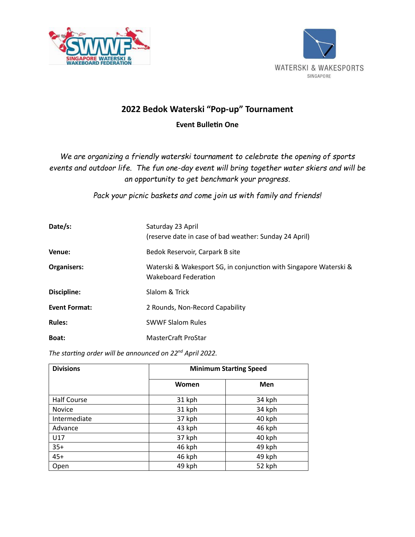



## **2022 Bedok Waterski "Pop-up" Tournament Event Bulletin One**

*We are organizing a friendly waterski tournament to celebrate the opening of sports events and outdoor life. The fun one-day event will bring together water skiers and will be an opportunity to get benchmark your progress.* 

*Pack your picnic baskets and come join us with family and friends!*

| Date/s:              | Saturday 23 April<br>(reserve date in case of bad weather: Sunday 24 April)               |
|----------------------|-------------------------------------------------------------------------------------------|
| Venue:               | Bedok Reservoir, Carpark B site                                                           |
| <b>Organisers:</b>   | Waterski & Wakesport SG, in conjunction with Singapore Waterski &<br>Wakeboard Federation |
| Discipline:          | Slalom & Trick                                                                            |
| <b>Event Format:</b> | 2 Rounds, Non-Record Capability                                                           |
| <b>Rules:</b>        | <b>SWWF Slalom Rules</b>                                                                  |
| Boat:                | MasterCraft ProStar                                                                       |

*The starting order will be announced on 22nd April 2022.* 

| <b>Divisions</b>   | <b>Minimum Starting Speed</b> |        |
|--------------------|-------------------------------|--------|
|                    | Women                         | Men    |
| <b>Half Course</b> | 31 kph                        | 34 kph |
| Novice             | 31 kph                        | 34 kph |
| Intermediate       | 37 kph                        | 40 kph |
| Advance            | 43 kph                        | 46 kph |
| U17                | 37 kph                        | 40 kph |
| $35+$              | 46 kph                        | 49 kph |
| $45+$              | 46 kph                        | 49 kph |
| Open               | 49 kph                        | 52 kph |